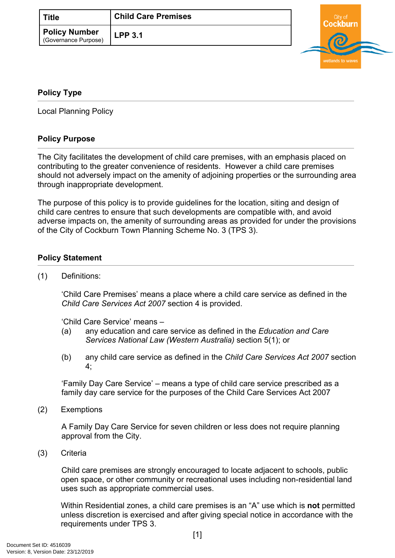| <b>Title</b>                          | <b>Child Care Premises</b> |  |
|---------------------------------------|----------------------------|--|
| Policy Number<br>(Governance Purpose) | <b>LPP 3.1</b>             |  |

# urn wetlands to wav

## <span id="page-0-0"></span>**[Policy Type](#page-0-0)**

Local Planning Policy

## **Policy Purpose**

The City facilitates the development of child care premises, with an emphasis placed on contributing to the greater convenience of residents. However a child care premises should not adversely impact on the amenity of adjoining properties or the surrounding area through inappropriate development.

The purpose of this policy is to provide guidelines for the location, siting and design of child care centres to ensure that such developments are compatible with, and avoid adverse impacts on, the amenity of surrounding areas as provided for under the provisions of the City of Cockburn Town Planning Scheme No. 3 (TPS 3).

#### **[Policy Statement](#page-0-1)**

<span id="page-0-1"></span>(1) Definitions:

'Child Care Premises' means a place where a child care service as defined in the *Child Care Services Act 2007* section 4 is provided.

'Child Care Service' means –

- (a) any education and care service as defined in the *Education and Care Services National Law (Western Australia)* section 5(1); or
- (b) any child care service as defined in the *Child Care Services Act 2007* section 4;

'Family Day Care Service' – means a type of child care service prescribed as a family day care service for the purposes of the Child Care Services Act 2007

(2) Exemptions

A Family Day Care Service for seven children or less does not require planning approval from the City.

(3) Criteria

Child care premises are strongly encouraged to locate adjacent to schools, public open space, or other community or recreational uses including non-residential land uses such as appropriate commercial uses.

Within Residential zones, a child care premises is an "A" use which is **not** permitted unless discretion is exercised and after giving special notice in accordance with the requirements under TPS 3.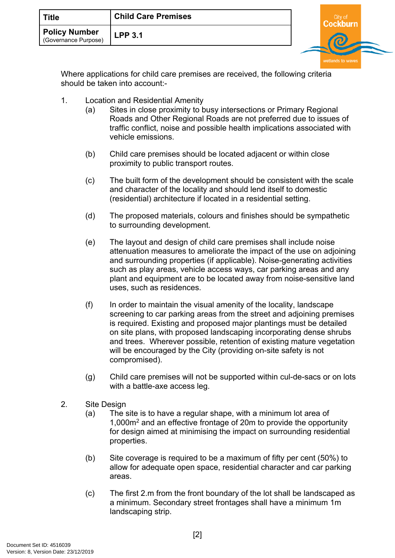| Policy Number<br><b>LPP 3.1</b><br>(Governance Purpose) |  |
|---------------------------------------------------------|--|

Where applications for child care premises are received, the following criteria should be taken into account:-

- 1. Location and Residential Amenity
	- (a) Sites in close proximity to busy intersections or Primary Regional Roads and Other Regional Roads are not preferred due to issues of traffic conflict, noise and possible health implications associated with vehicle emissions.
	- (b) Child care premises should be located adjacent or within close proximity to public transport routes.
	- (c) The built form of the development should be consistent with the scale and character of the locality and should lend itself to domestic (residential) architecture if located in a residential setting.
	- (d) The proposed materials, colours and finishes should be sympathetic to surrounding development.
	- (e) The layout and design of child care premises shall include noise attenuation measures to ameliorate the impact of the use on adjoining and surrounding properties (if applicable). Noise-generating activities such as play areas, vehicle access ways, car parking areas and any plant and equipment are to be located away from noise-sensitive land uses, such as residences.
	- (f) In order to maintain the visual amenity of the locality, landscape screening to car parking areas from the street and adjoining premises is required. Existing and proposed major plantings must be detailed on site plans, with proposed landscaping incorporating dense shrubs and trees. Wherever possible, retention of existing mature vegetation will be encouraged by the City (providing on-site safety is not compromised).
	- (g) Child care premises will not be supported within cul-de-sacs or on lots with a battle-axe access leg.
- 2. Site Design
	- (a) The site is to have a regular shape, with a minimum lot area of 1,000m<sup>2</sup> and an effective frontage of 20m to provide the opportunity for design aimed at minimising the impact on surrounding residential properties.
	- (b) Site coverage is required to be a maximum of fifty per cent (50%) to allow for adequate open space, residential character and car parking areas.
	- (c) The first 2.m from the front boundary of the lot shall be landscaped as a minimum. Secondary street frontages shall have a minimum 1m landscaping strip.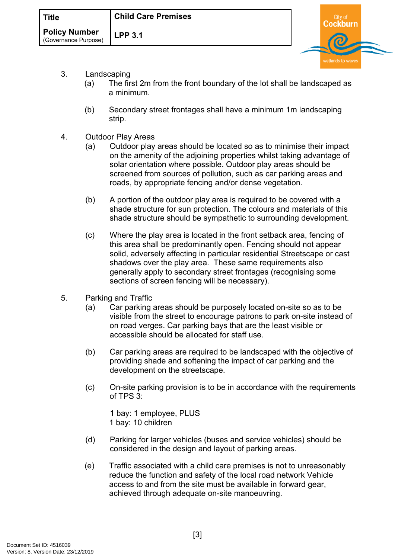| <b>Title</b>                                 | <b>Child Care Premises</b> | City of |  |
|----------------------------------------------|----------------------------|---------|--|
| <b>Policy Number</b><br>(Governance Purpose) | <b>LPP 3.1</b>             |         |  |

- 3. Landscaping
	- (a) The first 2m from the front boundary of the lot shall be landscaped as a minimum.
	- (b) Secondary street frontages shall have a minimum 1m landscaping strip.
- 4. Outdoor Play Areas
	- (a) Outdoor play areas should be located so as to minimise their impact on the amenity of the adjoining properties whilst taking advantage of solar orientation where possible. Outdoor play areas should be screened from sources of pollution, such as car parking areas and roads, by appropriate fencing and/or dense vegetation.
	- (b) A portion of the outdoor play area is required to be covered with a shade structure for sun protection. The colours and materials of this shade structure should be sympathetic to surrounding development.
	- (c) Where the play area is located in the front setback area, fencing of this area shall be predominantly open. Fencing should not appear solid, adversely affecting in particular residential Streetscape or cast shadows over the play area. These same requirements also generally apply to secondary street frontages (recognising some sections of screen fencing will be necessary).
- 5. Parking and Traffic
	- (a) Car parking areas should be purposely located on-site so as to be visible from the street to encourage patrons to park on-site instead of on road verges. Car parking bays that are the least visible or accessible should be allocated for staff use.
	- (b) Car parking areas are required to be landscaped with the objective of providing shade and softening the impact of car parking and the development on the streetscape.
	- (c) On-site parking provision is to be in accordance with the requirements of TPS 3:

1 bay: 1 employee, PLUS 1 bay: 10 children

- (d) Parking for larger vehicles (buses and service vehicles) should be considered in the design and layout of parking areas.
- (e) Traffic associated with a child care premises is not to unreasonably reduce the function and safety of the local road network Vehicle access to and from the site must be available in forward gear, achieved through adequate on-site manoeuvring.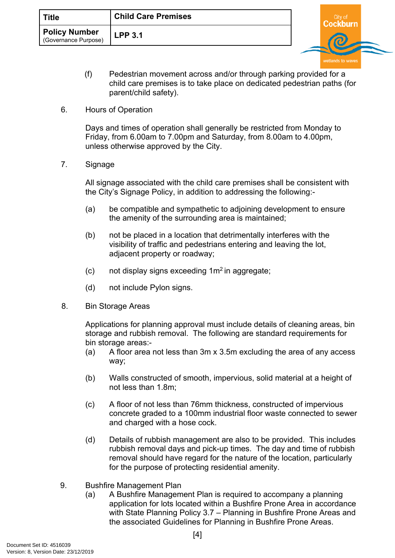| Title                                        | <b>Child Care Premises</b> | ∩itv o |  |
|----------------------------------------------|----------------------------|--------|--|
| <b>Policy Number</b><br>(Governance Purpose) | <b>LPP 3.1</b>             |        |  |

- (f) Pedestrian movement across and/or through parking provided for a child care premises is to take place on dedicated pedestrian paths (for parent/child safety).
- 6. Hours of Operation

Days and times of operation shall generally be restricted from Monday to Friday, from 6.00am to 7.00pm and Saturday, from 8.00am to 4.00pm, unless otherwise approved by the City.

7. Signage

All signage associated with the child care premises shall be consistent with the City's Signage Policy, in addition to addressing the following:-

- (a) be compatible and sympathetic to adjoining development to ensure the amenity of the surrounding area is maintained;
- (b) not be placed in a location that detrimentally interferes with the visibility of traffic and pedestrians entering and leaving the lot, adjacent property or roadway;
- $(c)$  not display signs exceeding  $1m<sup>2</sup>$  in aggregate;
- (d) not include Pylon signs.
- 8. Bin Storage Areas

Applications for planning approval must include details of cleaning areas, bin storage and rubbish removal. The following are standard requirements for bin storage areas:-

- (a) A floor area not less than 3m x 3.5m excluding the area of any access way;
- (b) Walls constructed of smooth, impervious, solid material at a height of not less than 1.8m;
- (c) A floor of not less than 76mm thickness, constructed of impervious concrete graded to a 100mm industrial floor waste connected to sewer and charged with a hose cock.
- (d) Details of rubbish management are also to be provided. This includes rubbish removal days and pick-up times. The day and time of rubbish removal should have regard for the nature of the location, particularly for the purpose of protecting residential amenity.
- 9. Bushfire Management Plan
	- (a) A Bushfire Management Plan is required to accompany a planning application for lots located within a Bushfire Prone Area in accordance with State Planning Policy 3.7 – Planning in Bushfire Prone Areas and the associated Guidelines for Planning in Bushfire Prone Areas.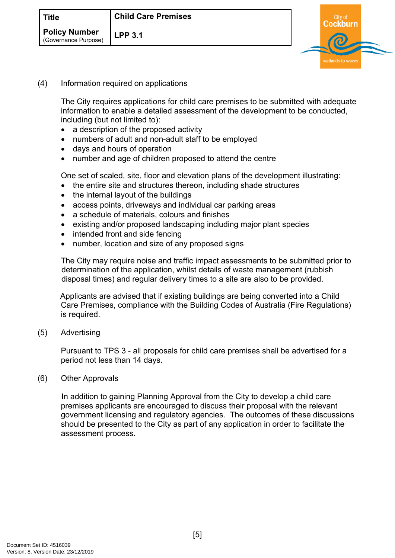| <b>Title</b>                                 | <b>Child Care Premises</b> | City of |  |
|----------------------------------------------|----------------------------|---------|--|
| <b>Policy Number</b><br>(Governance Purpose) | <b>LPP 3.1</b>             |         |  |
|                                              |                            |         |  |

(4) Information required on applications

The City requires applications for child care premises to be submitted with adequate information to enable a detailed assessment of the development to be conducted, including (but not limited to):

- a description of the proposed activity
- numbers of adult and non-adult staff to be employed
- days and hours of operation
- number and age of children proposed to attend the centre

One set of scaled, site, floor and elevation plans of the development illustrating:

- the entire site and structures thereon, including shade structures
- the internal layout of the buildings
- access points, driveways and individual car parking areas
- a schedule of materials, colours and finishes
- existing and/or proposed landscaping including major plant species
- intended front and side fencing
- number, location and size of any proposed signs

The City may require noise and traffic impact assessments to be submitted prior to determination of the application, whilst details of waste management (rubbish disposal times) and regular delivery times to a site are also to be provided.

Applicants are advised that if existing buildings are being converted into a Child Care Premises, compliance with the Building Codes of Australia (Fire Regulations) is required.

(5) Advertising

Pursuant to TPS 3 - all proposals for child care premises shall be advertised for a period not less than 14 days.

#### (6) Other Approvals

In addition to gaining Planning Approval from the City to develop a child care premises applicants are encouraged to discuss their proposal with the relevant government licensing and regulatory agencies. The outcomes of these discussions should be presented to the City as part of any application in order to facilitate the assessment process.